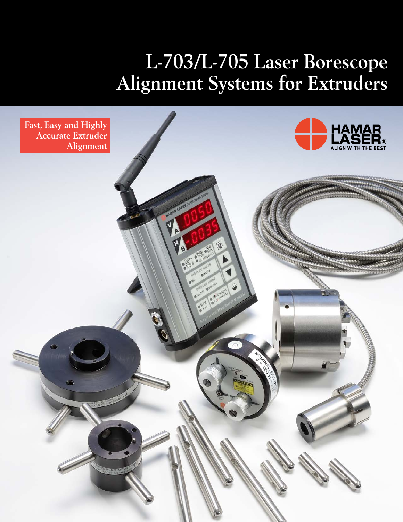# **L-703/L-705 Laser Borescope Alignment Systems for Extruders**

**Fast, Easy and Highly Accurate Extruder Alignment**

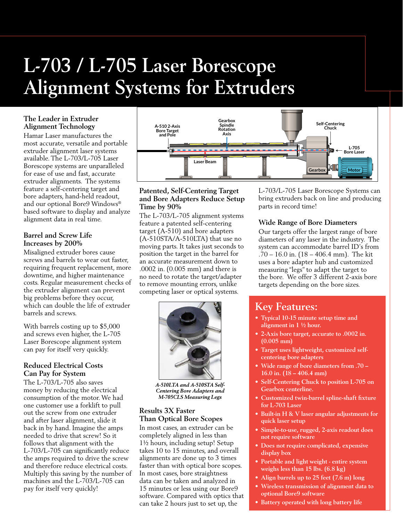# **L-703 / L-705 Laser Borescope Alignment Systems for Extruders**

# **The Leader in Extruder Alignment Technology**

Hamar Laser manufactures the most accurate, versatile and portable extruder alignment laser systems available. The L-703/L-705 Laser Borescope systems are unparalleled for ease of use and fast, accurate extruder alignments. The systems feature a self-centering target and bore adapters, hand-held readout, and our optional Bore9 Windows® based software to display and analyze alignment data in real time.

### **Barrel and Screw Life Increases by 200%**

Misaligned extruder bores cause screws and barrels to wear out faster, requiring frequent replacement, more downtime, and higher maintenance costs. Regular measurement checks of the extruder alignment can prevent big problems before they occur, which can double the life of extruder barrels and screws.

With barrels costing up to \$5,000 and screws even higher, the L-705 Laser Borescope alignment system can pay for itself very quickly.

### **Reduced Electrical Costs Can Pay for System**

The L-703/L-705 also saves money by reducing the electrical consumption of the motor. We had one customer use a forklift to pull out the screw from one extruder and after laser alignment, slide it back in by hand. Imagine the amps needed to drive that screw! So it follows that alignment with the L-703/L-705 can significantly reduce the amps required to drive the screw and therefore reduce electrical costs. Multiply this saving by the number of machines and the L-703/L-705 can pay for itself very quickly!



### **Patented, Self-Centering Target and Bore Adapters Reduce Setup Time by 90%**

The L-703/L-705 alignment systems feature a patented self-centering target (A-510) and bore adapters (A-510STA/A-510LTA) that use no moving parts. It takes just seconds to position the target in the barrel for an accurate measurement down to .0002 in. (0.005 mm) and there is no need to rotate the target/adapter to remove mounting errors, unlike competing laser or optical systems.



*A-510LTA and A-510STA Self-Centering Bore Adapters and M-705CLS Measuring Legs*

# **Results 3X Faster Than Optical Bore Scopes**

In most cases, an extruder can be completely aligned in less than 1½ hours, including setup! Setup takes 10 to 15 minutes, and overall alignments are done up to 3 times faster than with optical bore scopes. In most cases, bore straightness data can be taken and analyzed in 15 minutes or less using our Bore9 software. Compared with optics that can take 2 hours just to set up, the

L-703/L-705 Laser Borescope Systems can bring extruders back on line and producing parts in record time!

# **Wide Range of Bore Diameters**

Our targets offer the largest range of bore diameters of any laser in the industry. The system can accommodate barrel ID's from .70 – 16.0 in. (18 – 406.4 mm). The kit uses a bore adapter hub and customized measuring "legs" to adapt the target to the bore. We offer 3 different 2-axis bore targets depending on the bore sizes.

# **Key Features:**

- **• Typical 10-15 minute setup time and alignment in 1 1/2 hour.**
- **• 2-Axis bore target, accurate to .0002 in. (0.005 mm)**
- **• Target uses lightweight, customized selfcentering bore adapters**
- **• Wide range of bore diameters from .70 16.0 in. (18 – 406.4 mm)**
- **• Self-Centering Chuck to position L-705 on Gearbox centerline.**
- **• Customized twin-barrel spline-shaft fixture for L-703 Laser**
- **• Built-in H & V laser angular adjustments for quick laser setup**
- **• Simple-to-use, rugged, 2-axis readout does not require software**
- **• Does not require complicated, expensive display box**
- **• Portable and light weight entire system weighs less than 15 lbs. (6.8 kg)**
- **• Align barrels up to 25 feet (7.6 m) long**
- **• Wireless transmission of alignment data to optional Bore9 software**
- **• Battery operated with long battery life**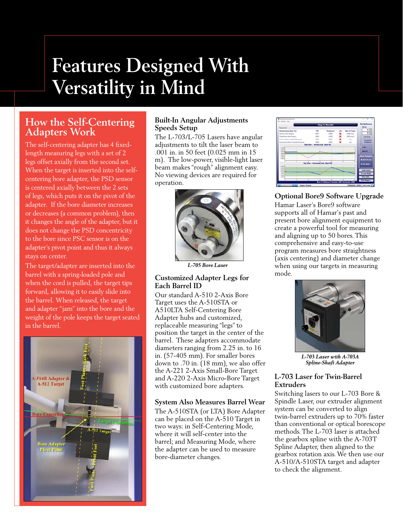# **Features Designed With Versatility in Mind**

# **How the Self-Centering Adapters Work**

The self-centering adapter has 4 fixedlength measuring legs with a set of 2 legs offset axially from the second set. When the target is inserted into the selfcentering bore adapter, the PSD sensor is centered axially between the 2 sets of legs, which puts it on the pivot of the adapter. If the bore diameter increases or decreases (a common problem), then it changes the angle of the adapter, but it does not change the PSD concentricity to the bore since PSC sensor is on the adapter's pivot point and thus it always stays on center.

The target/adapter are inserted into the barrel with a spring-loaded pole and when the cord is pulled, the target tips forward, allowing it to easily slide into the barrel. When released, the target and adapter "jam" into the bore and the weight of the pole keeps the target seated in the barrel.



### **Built-In Angular Adjustments Speeds Setup**

The L-703/L-705 Lasers have angular adjustments to tilt the laser beam to .001 in. in 50 feet (0.025 mm in 15 m). The low-power, visible-light laser beam makes "rough" alignment easy. No viewing devices are required for operation.



*L-705 Bore Laser*

## **Customized Adapter Legs for Each Barrel ID**

Our standard A-510 2-Axis Bore Target uses the A-510STA or A510LTA Self-Centering Bore Adapter hubs and customized, replaceable measuring "legs" to position the target in the center of the barrel. These adapters accommodate diameters ranging from 2.25 in. to 16 in. (57-405 mm). For smaller bores down to .70 in. (18 mm), we also offer the A-221 2-Axis Small-Bore Target and A-220 2-Axis Micro-Bore Target with customized bore adapters.

## **System Also Measures Barrel Wear**

The A-510STA (or LTA) Bore Adapter can be placed on the A-510 Target in two ways: in Self-Centering Mode, where it will self-center into the barrel; and Measuring Mode, where the adapter can be used to measure bore-diameter changes.



## **Optional Bore9 Software Upgrade**

Hamar Laser's Bore9 software supports all of Hamar's past and present bore alignment equipment to create a powerful tool for measuring and aligning up to 50 bores. This comprehensive and easy-to-use program measures bore straightness (axis centering) and diameter change when using our targets in measuring mode.



*L-703 Laser with A-703A Spline-Shaft Adapter*

## **L-703 Laser for Twin-Barrel Extruders**

Switching lasers to our L-703 Bore & Spindle Laser, our extruder alignment system can be converted to align twin-barrel extruders up to 70% faster than conventional or optical borescope methods. The L-703 laser is attached the gearbox spline with the A-703T Spline Adapter, then aligned to the gearbox rotation axis. We then use our A-510/A-510STA target and adapter to check the alignment.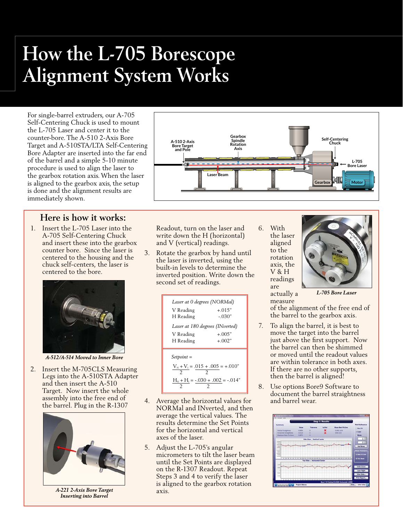# **How the L-705 Borescope Alignment System Works**

For single-barrel extruders, our A-705 Self-Centering Chuck is used to mount the L-705 Laser and center it to the counter-bore. The A-510 2-Axis Bore Target and A-510STA/LTA Self-Centering Bore Adapter are inserted into the far end of the barrel and a simple 5-10 minute procedure is used to align the laser to the gearbox rotation axis. When the laser is aligned to the gearbox axis, the setup is done and the alignment results are immediately shown.

# **Here is how it works:**

1. Insert the L-705 Laser into the A-705 Self-Centering Chuck and insert these into the gearbox counter bore. Since the laser is centered to the housing and the chuck self-centers, the laser is centered to the bore.



*A-512/A-514 Moved to Inner Bore*

2. Insert the M-705CLS Measuring Legs into the A-510STA Adapter and then insert the A-510 Target. Now insert the whole assembly into the free end of the barrel. Plug in the R-1307



*A-221 2-Axis Bore Target Inserting into Barrel*



Readout, turn on the laser and write down the H (horizontal) and V (vertical) readings.

3. Rotate the gearbox by hand until the laser is inverted, using the built-in levels to determine the inverted position. Write down the second set of readings.

| Laser at 0 degrees (NORMal)<br>$+015"$<br>V Reading         |                      |  |
|-------------------------------------------------------------|----------------------|--|
| H Reading<br>- 030"<br>Laser at 180 degrees (INverted)      |                      |  |
| V Reading<br>H Reading                                      | $+.005"$<br>$+.002"$ |  |
| $Setpoint =$<br>$V_{N} + V_{I} = .015 + .005 = +.010"$      |                      |  |
| $H_{\textsc{h}}$ + $H_{\textsc{i}}$ = -.030 + .002 = -.014" |                      |  |

- 4. Average the horizontal values for NORMal and INverted, and then average the vertical values. The results determine the Set Points for the horizontal and vertical axes of the laser.
- 5. Adjust the L-705's angular micrometers to tilt the laser beam until the Set Points are displayed on the R-1307 Readout. Repeat Steps 3 and 4 to verify the laser is aligned to the gearbox rotation axis.

6. With the laser aligned to the rotation axis, the V & H readings are actually a

measure



*L-705 Bore Laser* 

of the alignment of the free end of the barrel to the gearbox axis.

- 7. To align the barrel, it is best to move the target into the barrel just above the first support. Now the barrel can then be shimmed or moved until the readout values are within tolerance in both axes. If there are no other supports, then the barrel is aligned!
- 8. Use options Bore9 Software to document the barrel straightness and barrel wear.